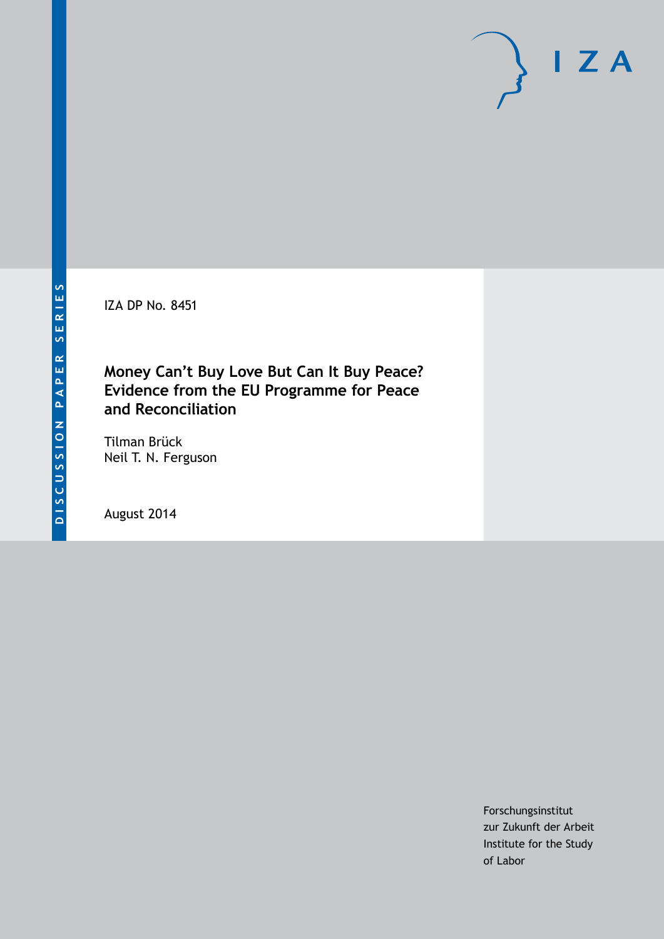IZA DP No. 8451

### **Money Can't Buy Love But Can It Buy Peace? Evidence from the EU Programme for Peace and Reconciliation**

Tilman Brück Neil T. N. Ferguson

August 2014

Forschungsinstitut zur Zukunft der Arbeit Institute for the Study of Labor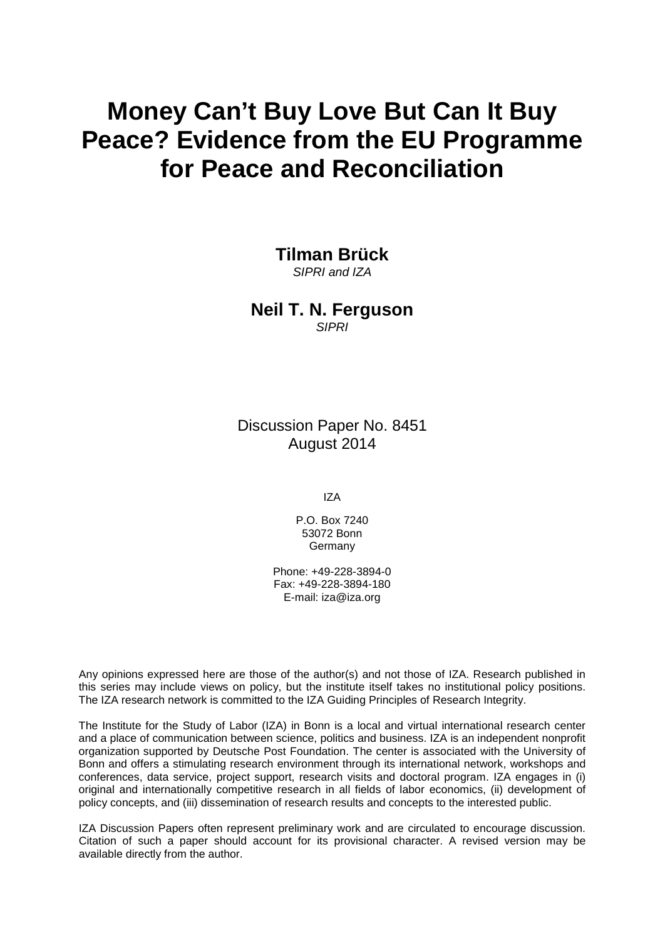# **Money Can't Buy Love But Can It Buy Peace? Evidence from the EU Programme for Peace and Reconciliation**

### **Tilman Brück**

*SIPRI and IZA*

#### **Neil T. N. Ferguson** *SIPRI*

Discussion Paper No. 8451 August 2014

IZA

P.O. Box 7240 53072 Bonn **Germany** 

Phone: +49-228-3894-0 Fax: +49-228-3894-180 E-mail: [iza@iza.org](mailto:iza@iza.org)

Any opinions expressed here are those of the author(s) and not those of IZA. Research published in this series may include views on policy, but the institute itself takes no institutional policy positions. The IZA research network is committed to the IZA Guiding Principles of Research Integrity.

The Institute for the Study of Labor (IZA) in Bonn is a local and virtual international research center and a place of communication between science, politics and business. IZA is an independent nonprofit organization supported by Deutsche Post Foundation. The center is associated with the University of Bonn and offers a stimulating research environment through its international network, workshops and conferences, data service, project support, research visits and doctoral program. IZA engages in (i) original and internationally competitive research in all fields of labor economics, (ii) development of policy concepts, and (iii) dissemination of research results and concepts to the interested public.

IZA Discussion Papers often represent preliminary work and are circulated to encourage discussion. Citation of such a paper should account for its provisional character. A revised version may be available directly from the author.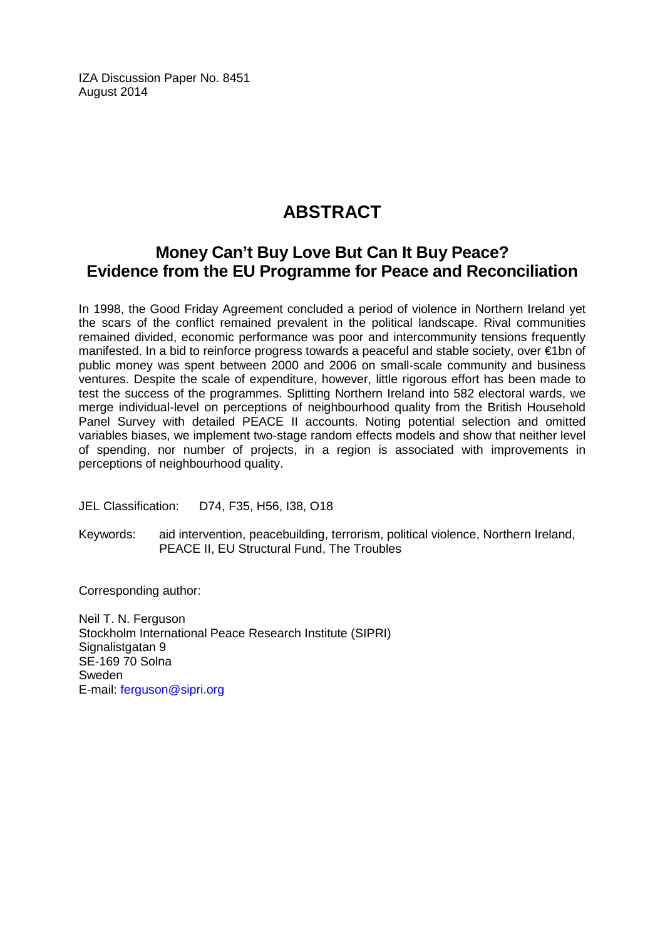IZA Discussion Paper No. 8451 August 2014

# **ABSTRACT**

### **Money Can't Buy Love But Can It Buy Peace? Evidence from the EU Programme for Peace and Reconciliation**

In 1998, the Good Friday Agreement concluded a period of violence in Northern Ireland yet the scars of the conflict remained prevalent in the political landscape. Rival communities remained divided, economic performance was poor and intercommunity tensions frequently manifested. In a bid to reinforce progress towards a peaceful and stable society, over €1bn of public money was spent between 2000 and 2006 on small-scale community and business ventures. Despite the scale of expenditure, however, little rigorous effort has been made to test the success of the programmes. Splitting Northern Ireland into 582 electoral wards, we merge individual-level on perceptions of neighbourhood quality from the British Household Panel Survey with detailed PEACE II accounts. Noting potential selection and omitted variables biases, we implement two-stage random effects models and show that neither level of spending, nor number of projects, in a region is associated with improvements in perceptions of neighbourhood quality.

JEL Classification: D74, F35, H56, I38, O18

Keywords: aid intervention, peacebuilding, terrorism, political violence, Northern Ireland, PEACE II, EU Structural Fund, The Troubles

Corresponding author:

Neil T. N. Ferguson Stockholm International Peace Research Institute (SIPRI) Signalistgatan 9 SE-169 70 Solna Sweden E-mail: [ferguson@sipri.org](mailto:ferguson@sipri.org)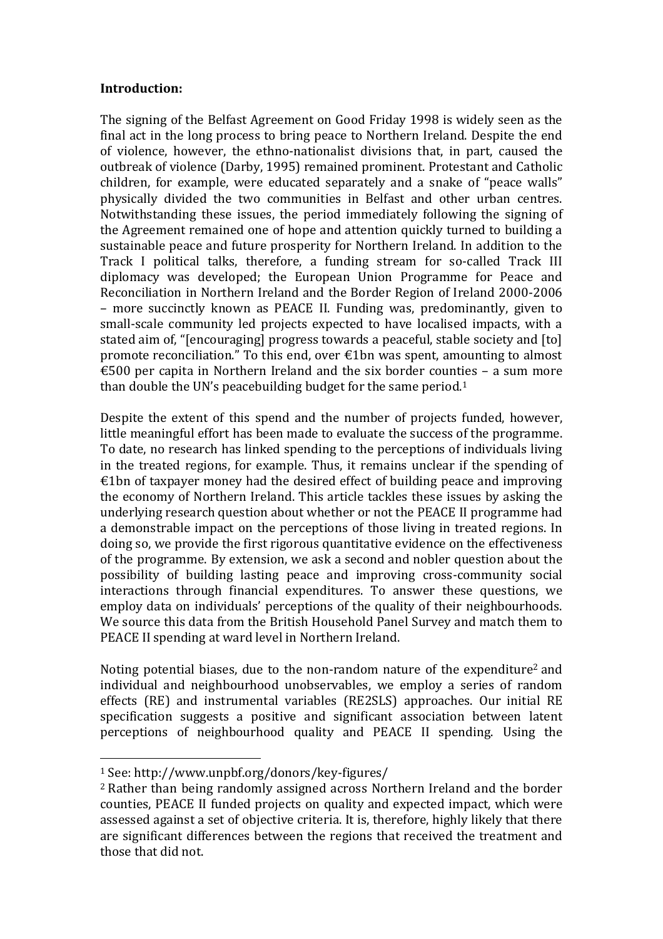#### **Introduction:**

The signing of the Belfast Agreement on Good Friday 1998 is widely seen as the final act in the long process to bring peace to Northern Ireland. Despite the end of violence, however, the ethno-nationalist divisions that, in part, caused the outbreak of violence (Darby, 1995) remained prominent. Protestant and Catholic children, for example, were educated separately and a snake of "peace walls" physically divided the two communities in Belfast and other urban centres. Notwithstanding these issues, the period immediately following the signing of the Agreement remained one of hope and attention quickly turned to building a sustainable peace and future prosperity for Northern Ireland. In addition to the Track I political talks, therefore, a funding stream for so-called Track III diplomacy was developed; the European Union Programme for Peace and Reconciliation in Northern Ireland and the Border Region of Ireland 2000-2006 – more succinctly known as PEACE II. Funding was, predominantly, given to small-scale community led projects expected to have localised impacts, with a stated aim of, "[encouraging] progress towards a peaceful, stable society and [to] promote reconciliation." To this end, over €1bn was spent, amounting to almost €500 per capita in Northern Ireland and the six border counties  $-$  a sum more than double the UN's peacebuilding budget for the same period.<sup>1</sup>

Despite the extent of this spend and the number of projects funded, however, little meaningful effort has been made to evaluate the success of the programme. To date, no research has linked spending to the perceptions of individuals living in the treated regions, for example. Thus, it remains unclear if the spending of  $£1$ bn of taxpayer money had the desired effect of building peace and improving the economy of Northern Ireland. This article tackles these issues by asking the underlying research question about whether or not the PEACE II programme had a demonstrable impact on the perceptions of those living in treated regions. In doing so, we provide the first rigorous quantitative evidence on the effectiveness of the programme. By extension, we ask a second and nobler question about the possibility of building lasting peace and improving cross-community social interactions through financial expenditures. To answer these questions, we employ data on individuals' perceptions of the quality of their neighbourhoods. We source this data from the British Household Panel Survey and match them to PEACE II spending at ward level in Northern Ireland.

Noting potential biases, due to the non-random nature of the expenditure<sup>2</sup> and individual and neighbourhood unobservables, we employ a series of random effects (RE) and instrumental variables (RE2SLS) approaches. Our initial RE specification suggests a positive and significant association between latent perceptions of neighbourhood quality and PEACE II spending. Using the

 $\overline{a}$ 

<sup>1</sup> See: http://www.unpbf.org/donors/key-figures/

<sup>2</sup> Rather than being randomly assigned across Northern Ireland and the border counties, PEACE II funded projects on quality and expected impact, which were assessed against a set of objective criteria. It is, therefore, highly likely that there are significant differences between the regions that received the treatment and those that did not.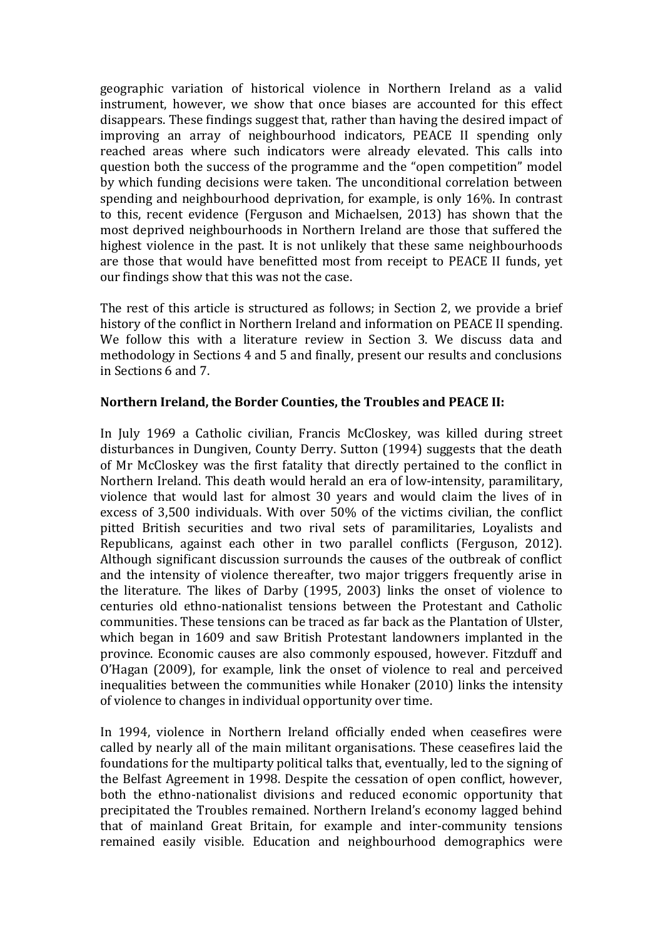geographic variation of historical violence in Northern Ireland as a valid instrument, however, we show that once biases are accounted for this effect disappears. These findings suggest that, rather than having the desired impact of improving an array of neighbourhood indicators, PEACE II spending only reached areas where such indicators were already elevated. This calls into question both the success of the programme and the "open competition" model by which funding decisions were taken. The unconditional correlation between spending and neighbourhood deprivation, for example, is only 16%. In contrast to this, recent evidence (Ferguson and Michaelsen, 2013) has shown that the most deprived neighbourhoods in Northern Ireland are those that suffered the highest violence in the past. It is not unlikely that these same neighbourhoods are those that would have benefitted most from receipt to PEACE II funds, yet our findings show that this was not the case.

The rest of this article is structured as follows; in Section 2, we provide a brief history of the conflict in Northern Ireland and information on PEACE II spending. We follow this with a literature review in Section 3. We discuss data and methodology in Sections 4 and 5 and finally, present our results and conclusions in Sections 6 and 7.

#### **Northern Ireland, the Border Counties, the Troubles and PEACE II:**

In July 1969 a Catholic civilian, Francis McCloskey, was killed during street disturbances in Dungiven, County Derry. Sutton (1994) suggests that the death of Mr McCloskey was the first fatality that directly pertained to the conflict in Northern Ireland. This death would herald an era of low-intensity, paramilitary, violence that would last for almost 30 years and would claim the lives of in excess of 3,500 individuals. With over 50% of the victims civilian, the conflict pitted British securities and two rival sets of paramilitaries, Loyalists and Republicans, against each other in two parallel conflicts (Ferguson, 2012). Although significant discussion surrounds the causes of the outbreak of conflict and the intensity of violence thereafter, two major triggers frequently arise in the literature. The likes of Darby (1995, 2003) links the onset of violence to centuries old ethno-nationalist tensions between the Protestant and Catholic communities. These tensions can be traced as far back as the Plantation of Ulster, which began in 1609 and saw British Protestant landowners implanted in the province. Economic causes are also commonly espoused, however. Fitzduff and O'Hagan (2009), for example, link the onset of violence to real and perceived inequalities between the communities while Honaker (2010) links the intensity of violence to changes in individual opportunity over time.

In 1994, violence in Northern Ireland officially ended when ceasefires were called by nearly all of the main militant organisations. These ceasefires laid the foundations for the multiparty political talks that, eventually, led to the signing of the Belfast Agreement in 1998. Despite the cessation of open conflict, however, both the ethno-nationalist divisions and reduced economic opportunity that precipitated the Troubles remained. Northern Ireland's economy lagged behind that of mainland Great Britain, for example and inter-community tensions remained easily visible. Education and neighbourhood demographics were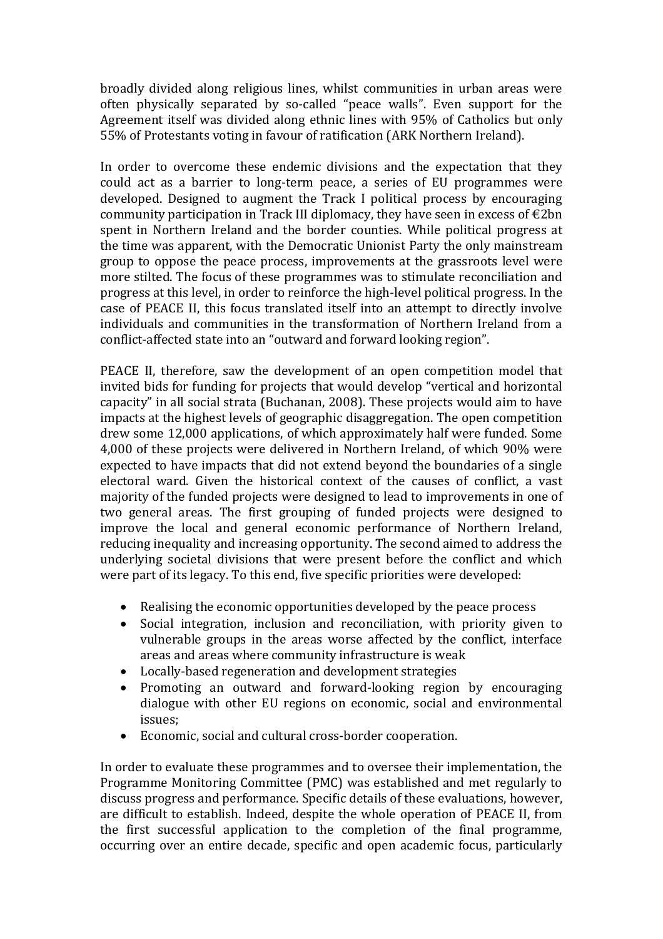broadly divided along religious lines, whilst communities in urban areas were often physically separated by so-called "peace walls". Even support for the Agreement itself was divided along ethnic lines with 95% of Catholics but only 55% of Protestants voting in favour of ratification (ARK Northern Ireland).

In order to overcome these endemic divisions and the expectation that they could act as a barrier to long-term peace, a series of EU programmes were developed. Designed to augment the Track I political process by encouraging community participation in Track III diplomacy, they have seen in excess of  $\epsilon$ 2bn spent in Northern Ireland and the border counties. While political progress at the time was apparent, with the Democratic Unionist Party the only mainstream group to oppose the peace process, improvements at the grassroots level were more stilted. The focus of these programmes was to stimulate reconciliation and progress at this level, in order to reinforce the high-level political progress. In the case of PEACE II, this focus translated itself into an attempt to directly involve individuals and communities in the transformation of Northern Ireland from a conflict-affected state into an "outward and forward looking region".

PEACE II, therefore, saw the development of an open competition model that invited bids for funding for projects that would develop "vertical and horizontal capacity" in all social strata (Buchanan, 2008). These projects would aim to have impacts at the highest levels of geographic disaggregation. The open competition drew some 12,000 applications, of which approximately half were funded. Some 4,000 of these projects were delivered in Northern Ireland, of which 90% were expected to have impacts that did not extend beyond the boundaries of a single electoral ward. Given the historical context of the causes of conflict, a vast majority of the funded projects were designed to lead to improvements in one of two general areas. The first grouping of funded projects were designed to improve the local and general economic performance of Northern Ireland, reducing inequality and increasing opportunity. The second aimed to address the underlying societal divisions that were present before the conflict and which were part of its legacy. To this end, five specific priorities were developed:

- Realising the economic opportunities developed by the peace process
- Social integration, inclusion and reconciliation, with priority given to vulnerable groups in the areas worse affected by the conflict, interface areas and areas where community infrastructure is weak
- Locally-based regeneration and development strategies
- Promoting an outward and forward-looking region by encouraging dialogue with other EU regions on economic, social and environmental issues;
- Economic, social and cultural cross-border cooperation.

In order to evaluate these programmes and to oversee their implementation, the Programme Monitoring Committee (PMC) was established and met regularly to discuss progress and performance. Specific details of these evaluations, however, are difficult to establish. Indeed, despite the whole operation of PEACE II, from the first successful application to the completion of the final programme, occurring over an entire decade, specific and open academic focus, particularly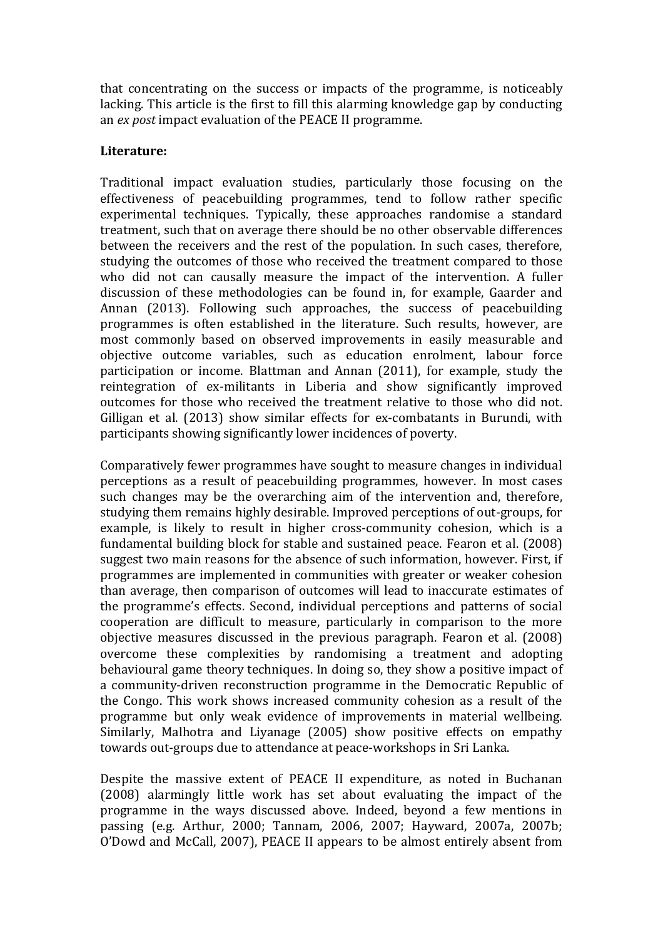that concentrating on the success or impacts of the programme, is noticeably lacking. This article is the first to fill this alarming knowledge gap by conducting an *ex post* impact evaluation of the PEACE II programme.

#### **Literature:**

Traditional impact evaluation studies, particularly those focusing on the effectiveness of peacebuilding programmes, tend to follow rather specific experimental techniques. Typically, these approaches randomise a standard treatment, such that on average there should be no other observable differences between the receivers and the rest of the population. In such cases, therefore, studying the outcomes of those who received the treatment compared to those who did not can causally measure the impact of the intervention. A fuller discussion of these methodologies can be found in, for example, Gaarder and Annan (2013). Following such approaches, the success of peacebuilding programmes is often established in the literature. Such results, however, are most commonly based on observed improvements in easily measurable and objective outcome variables, such as education enrolment, labour force participation or income. Blattman and Annan (2011), for example, study the reintegration of ex-militants in Liberia and show significantly improved outcomes for those who received the treatment relative to those who did not. Gilligan et al. (2013) show similar effects for ex-combatants in Burundi, with participants showing significantly lower incidences of poverty.

Comparatively fewer programmes have sought to measure changes in individual perceptions as a result of peacebuilding programmes, however. In most cases such changes may be the overarching aim of the intervention and, therefore, studying them remains highly desirable. Improved perceptions of out-groups, for example, is likely to result in higher cross-community cohesion, which is a fundamental building block for stable and sustained peace. Fearon et al. (2008) suggest two main reasons for the absence of such information, however. First, if programmes are implemented in communities with greater or weaker cohesion than average, then comparison of outcomes will lead to inaccurate estimates of the programme's effects. Second, individual perceptions and patterns of social cooperation are difficult to measure, particularly in comparison to the more objective measures discussed in the previous paragraph. Fearon et al. (2008) overcome these complexities by randomising a treatment and adopting behavioural game theory techniques. In doing so, they show a positive impact of a community-driven reconstruction programme in the Democratic Republic of the Congo. This work shows increased community cohesion as a result of the programme but only weak evidence of improvements in material wellbeing. Similarly, Malhotra and Liyanage (2005) show positive effects on empathy towards out-groups due to attendance at peace-workshops in Sri Lanka.

Despite the massive extent of PEACE II expenditure, as noted in Buchanan (2008) alarmingly little work has set about evaluating the impact of the programme in the ways discussed above. Indeed, beyond a few mentions in passing (e.g. Arthur, 2000; Tannam, 2006, 2007; Hayward, 2007a, 2007b; O'Dowd and McCall, 2007), PEACE II appears to be almost entirely absent from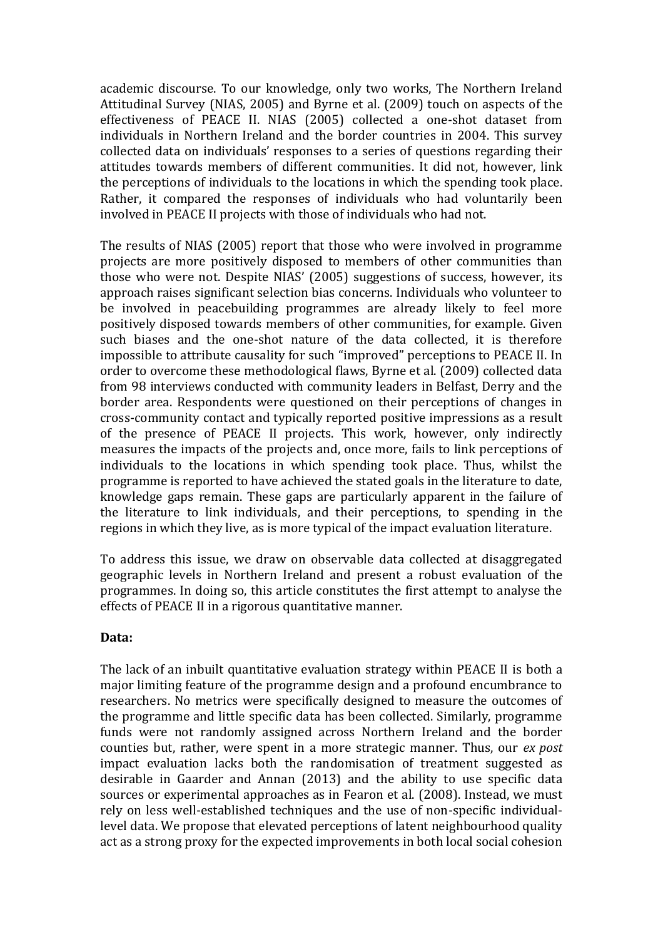academic discourse. To our knowledge, only two works, The Northern Ireland Attitudinal Survey (NIAS, 2005) and Byrne et al. (2009) touch on aspects of the effectiveness of PEACE II. NIAS (2005) collected a one-shot dataset from individuals in Northern Ireland and the border countries in 2004. This survey collected data on individuals' responses to a series of questions regarding their attitudes towards members of different communities. It did not, however, link the perceptions of individuals to the locations in which the spending took place. Rather, it compared the responses of individuals who had voluntarily been involved in PEACE II projects with those of individuals who had not.

The results of NIAS (2005) report that those who were involved in programme projects are more positively disposed to members of other communities than those who were not. Despite NIAS' (2005) suggestions of success, however, its approach raises significant selection bias concerns. Individuals who volunteer to be involved in peacebuilding programmes are already likely to feel more positively disposed towards members of other communities, for example. Given such biases and the one-shot nature of the data collected, it is therefore impossible to attribute causality for such "improved" perceptions to PEACE II. In order to overcome these methodological flaws, Byrne et al. (2009) collected data from 98 interviews conducted with community leaders in Belfast, Derry and the border area. Respondents were questioned on their perceptions of changes in cross-community contact and typically reported positive impressions as a result of the presence of PEACE II projects. This work, however, only indirectly measures the impacts of the projects and, once more, fails to link perceptions of individuals to the locations in which spending took place. Thus, whilst the programme is reported to have achieved the stated goals in the literature to date, knowledge gaps remain. These gaps are particularly apparent in the failure of the literature to link individuals, and their perceptions, to spending in the regions in which they live, as is more typical of the impact evaluation literature.

To address this issue, we draw on observable data collected at disaggregated geographic levels in Northern Ireland and present a robust evaluation of the programmes. In doing so, this article constitutes the first attempt to analyse the effects of PEACE II in a rigorous quantitative manner.

#### **Data:**

The lack of an inbuilt quantitative evaluation strategy within PEACE II is both a major limiting feature of the programme design and a profound encumbrance to researchers. No metrics were specifically designed to measure the outcomes of the programme and little specific data has been collected. Similarly, programme funds were not randomly assigned across Northern Ireland and the border counties but, rather, were spent in a more strategic manner. Thus, our *ex post*  impact evaluation lacks both the randomisation of treatment suggested as desirable in Gaarder and Annan (2013) and the ability to use specific data sources or experimental approaches as in Fearon et al. (2008). Instead, we must rely on less well-established techniques and the use of non-specific individuallevel data. We propose that elevated perceptions of latent neighbourhood quality act as a strong proxy for the expected improvements in both local social cohesion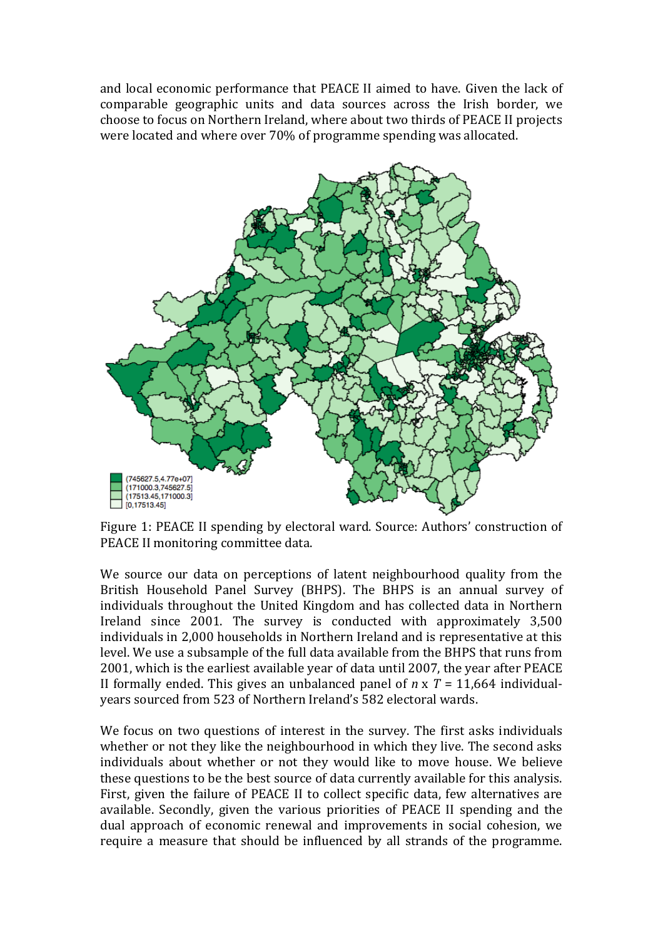and local economic performance that PEACE II aimed to have. Given the lack of comparable geographic units and data sources across the Irish border, we choose to focus on Northern Ireland, where about two thirds of PEACE II projects were located and where over 70% of programme spending was allocated.



Figure 1: PEACE II spending by electoral ward. Source: Authors' construction of PEACE II monitoring committee data.

We source our data on perceptions of latent neighbourhood quality from the British Household Panel Survey (BHPS). The BHPS is an annual survey of individuals throughout the United Kingdom and has collected data in Northern Ireland since 2001. The survey is conducted with approximately 3,500 individuals in 2,000 households in Northern Ireland and is representative at this level. We use a subsample of the full data available from the BHPS that runs from 2001, which is the earliest available year of data until 2007, the year after PEACE II formally ended. This gives an unbalanced panel of *n* x *T* = 11,664 individualyears sourced from 523 of Northern Ireland's 582 electoral wards.

We focus on two questions of interest in the survey. The first asks individuals whether or not they like the neighbourhood in which they live. The second asks individuals about whether or not they would like to move house. We believe these questions to be the best source of data currently available for this analysis. First, given the failure of PEACE II to collect specific data, few alternatives are available. Secondly, given the various priorities of PEACE II spending and the dual approach of economic renewal and improvements in social cohesion, we require a measure that should be influenced by all strands of the programme.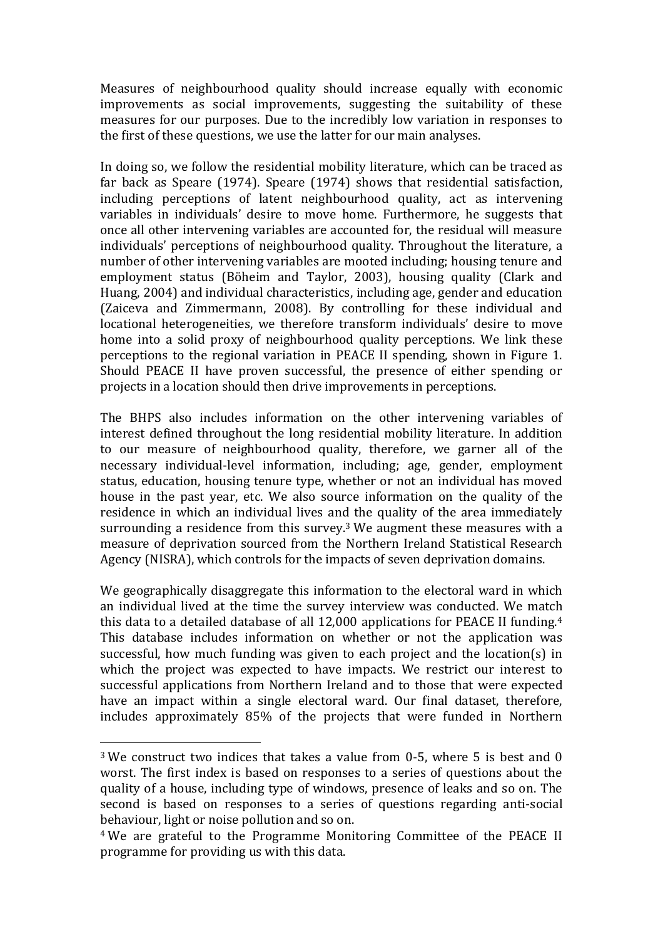Measures of neighbourhood quality should increase equally with economic improvements as social improvements, suggesting the suitability of these measures for our purposes. Due to the incredibly low variation in responses to the first of these questions, we use the latter for our main analyses.

In doing so, we follow the residential mobility literature, which can be traced as far back as Speare (1974). Speare (1974) shows that residential satisfaction, including perceptions of latent neighbourhood quality, act as intervening variables in individuals' desire to move home. Furthermore, he suggests that once all other intervening variables are accounted for, the residual will measure individuals' perceptions of neighbourhood quality. Throughout the literature, a number of other intervening variables are mooted including; housing tenure and employment status (Böheim and Taylor, 2003), housing quality (Clark and Huang, 2004) and individual characteristics, including age, gender and education (Zaiceva and Zimmermann, 2008). By controlling for these individual and locational heterogeneities, we therefore transform individuals' desire to move home into a solid proxy of neighbourhood quality perceptions. We link these perceptions to the regional variation in PEACE II spending, shown in Figure 1. Should PEACE II have proven successful, the presence of either spending or projects in a location should then drive improvements in perceptions.

The BHPS also includes information on the other intervening variables of interest defined throughout the long residential mobility literature. In addition to our measure of neighbourhood quality, therefore, we garner all of the necessary individual-level information, including; age, gender, employment status, education, housing tenure type, whether or not an individual has moved house in the past year, etc. We also source information on the quality of the residence in which an individual lives and the quality of the area immediately surrounding a residence from this survey.<sup>3</sup> We augment these measures with a measure of deprivation sourced from the Northern Ireland Statistical Research Agency (NISRA), which controls for the impacts of seven deprivation domains.

We geographically disaggregate this information to the electoral ward in which an individual lived at the time the survey interview was conducted. We match this data to a detailed database of all 12,000 applications for PEACE II funding.<sup>4</sup> This database includes information on whether or not the application was successful, how much funding was given to each project and the location(s) in which the project was expected to have impacts. We restrict our interest to successful applications from Northern Ireland and to those that were expected have an impact within a single electoral ward. Our final dataset, therefore, includes approximately 85% of the projects that were funded in Northern

<sup>3</sup> We construct two indices that takes a value from 0-5, where 5 is best and 0 worst. The first index is based on responses to a series of questions about the quality of a house, including type of windows, presence of leaks and so on. The second is based on responses to a series of questions regarding anti-social behaviour, light or noise pollution and so on.

<sup>4</sup> We are grateful to the Programme Monitoring Committee of the PEACE II programme for providing us with this data.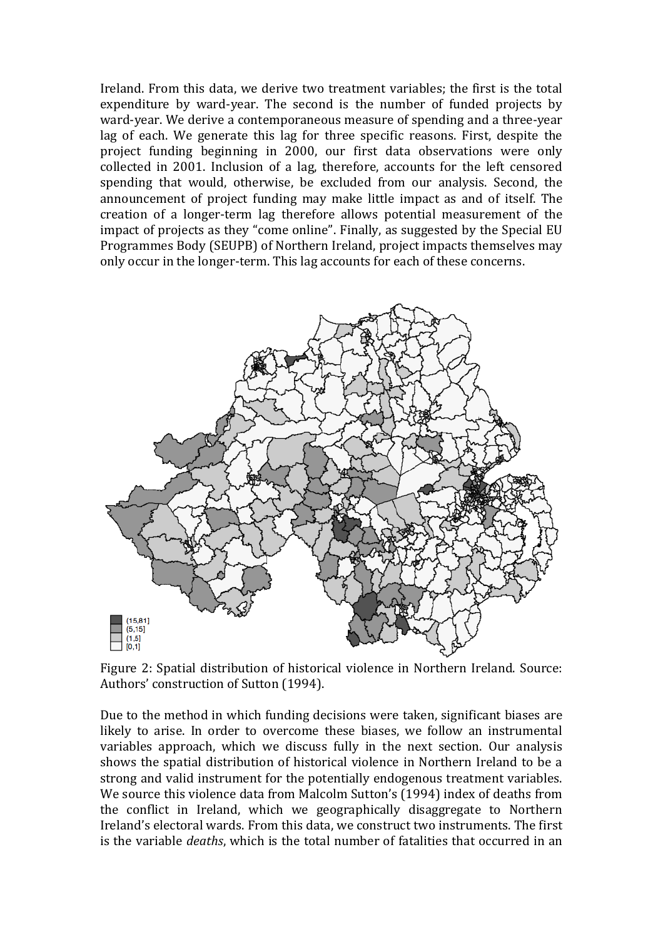Ireland. From this data, we derive two treatment variables; the first is the total expenditure by ward-year. The second is the number of funded projects by ward-year. We derive a contemporaneous measure of spending and a three-year lag of each. We generate this lag for three specific reasons. First, despite the project funding beginning in 2000, our first data observations were only collected in 2001. Inclusion of a lag, therefore, accounts for the left censored spending that would, otherwise, be excluded from our analysis. Second, the announcement of project funding may make little impact as and of itself. The creation of a longer-term lag therefore allows potential measurement of the impact of projects as they "come online". Finally, as suggested by the Special EU Programmes Body (SEUPB) of Northern Ireland, project impacts themselves may only occur in the longer-term. This lag accounts for each of these concerns.



Figure 2: Spatial distribution of historical violence in Northern Ireland. Source: Authors' construction of Sutton (1994).

Due to the method in which funding decisions were taken, significant biases are likely to arise. In order to overcome these biases, we follow an instrumental variables approach, which we discuss fully in the next section. Our analysis shows the spatial distribution of historical violence in Northern Ireland to be a strong and valid instrument for the potentially endogenous treatment variables. We source this violence data from Malcolm Sutton's (1994) index of deaths from the conflict in Ireland, which we geographically disaggregate to Northern Ireland's electoral wards. From this data, we construct two instruments. The first is the variable *deaths*, which is the total number of fatalities that occurred in an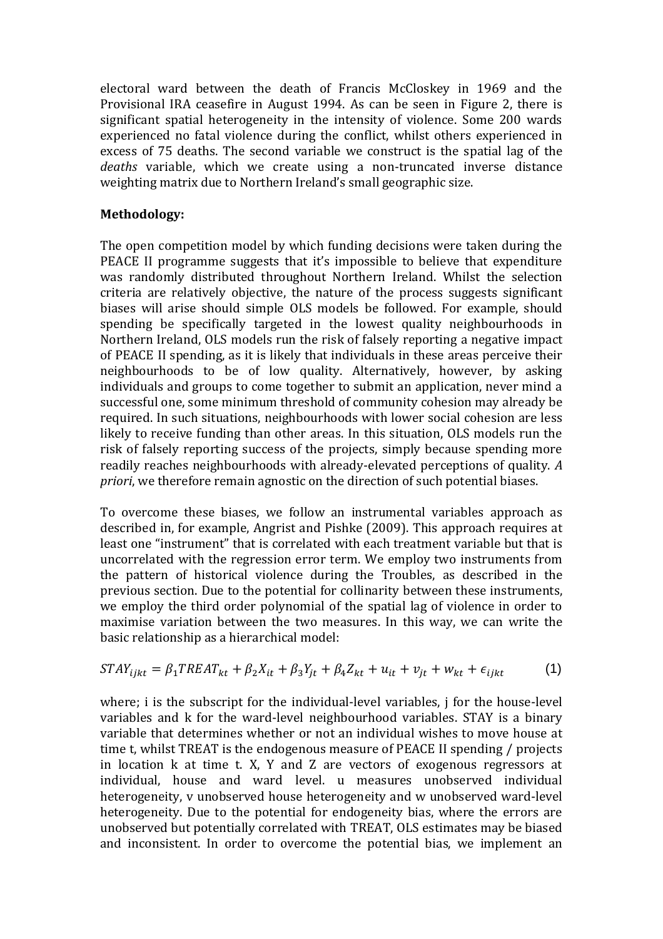electoral ward between the death of Francis McCloskey in 1969 and the Provisional IRA ceasefire in August 1994. As can be seen in Figure 2, there is significant spatial heterogeneity in the intensity of violence. Some 200 wards experienced no fatal violence during the conflict, whilst others experienced in excess of 75 deaths. The second variable we construct is the spatial lag of the *deaths* variable, which we create using a non-truncated inverse distance weighting matrix due to Northern Ireland's small geographic size.

#### **Methodology:**

The open competition model by which funding decisions were taken during the PEACE II programme suggests that it's impossible to believe that expenditure was randomly distributed throughout Northern Ireland. Whilst the selection criteria are relatively objective, the nature of the process suggests significant biases will arise should simple OLS models be followed. For example, should spending be specifically targeted in the lowest quality neighbourhoods in Northern Ireland, OLS models run the risk of falsely reporting a negative impact of PEACE II spending, as it is likely that individuals in these areas perceive their neighbourhoods to be of low quality. Alternatively, however, by asking individuals and groups to come together to submit an application, never mind a successful one, some minimum threshold of community cohesion may already be required. In such situations, neighbourhoods with lower social cohesion are less likely to receive funding than other areas. In this situation, OLS models run the risk of falsely reporting success of the projects, simply because spending more readily reaches neighbourhoods with already-elevated perceptions of quality. *A priori*, we therefore remain agnostic on the direction of such potential biases.

To overcome these biases, we follow an instrumental variables approach as described in, for example, Angrist and Pishke (2009). This approach requires at least one "instrument" that is correlated with each treatment variable but that is uncorrelated with the regression error term. We employ two instruments from the pattern of historical violence during the Troubles, as described in the previous section. Due to the potential for collinarity between these instruments, we employ the third order polynomial of the spatial lag of violence in order to maximise variation between the two measures. In this way, we can write the basic relationship as a hierarchical model:

$$
STAY_{ijkt} = \beta_1 TREAT_{kt} + \beta_2 X_{it} + \beta_3 Y_{jt} + \beta_4 Z_{kt} + u_{it} + v_{jt} + w_{kt} + \epsilon_{ijkt}
$$
 (1)

where; i is the subscript for the individual-level variables, j for the house-level variables and k for the ward-level neighbourhood variables. STAY is a binary variable that determines whether or not an individual wishes to move house at time t, whilst TREAT is the endogenous measure of PEACE II spending / projects in location k at time t. X, Y and Z are vectors of exogenous regressors at individual, house and ward level. u measures unobserved individual heterogeneity, v unobserved house heterogeneity and w unobserved ward-level heterogeneity. Due to the potential for endogeneity bias, where the errors are unobserved but potentially correlated with TREAT, OLS estimates may be biased and inconsistent. In order to overcome the potential bias, we implement an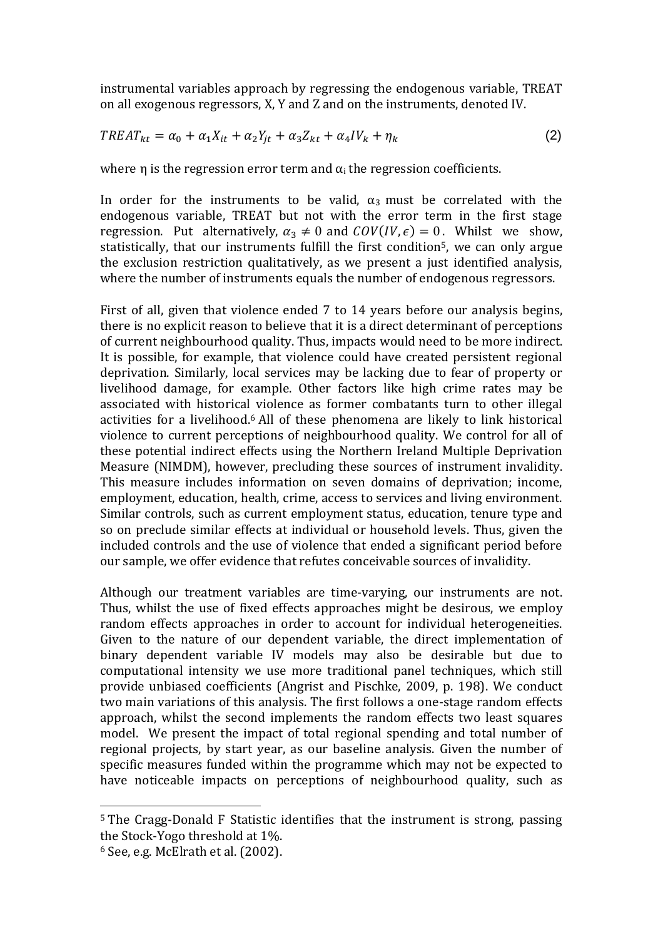instrumental variables approach by regressing the endogenous variable, TREAT on all exogenous regressors, X, Y and Z and on the instruments, denoted IV.

$$
TREAT_{kt} = \alpha_0 + \alpha_1 X_{it} + \alpha_2 Y_{jt} + \alpha_3 Z_{kt} + \alpha_4 IV_k + \eta_k
$$
\n<sup>(2)</sup>

where  $\eta$  is the regression error term and  $\alpha_i$  the regression coefficients.

In order for the instruments to be valid,  $\alpha_3$  must be correlated with the endogenous variable, TREAT but not with the error term in the first stage regression. Put alternatively,  $\alpha_3 \neq 0$  and  $COV (IV, \epsilon) = 0$ . Whilst we show, statistically, that our instruments fulfill the first condition<sup>5</sup>, we can only argue the exclusion restriction qualitatively, as we present a just identified analysis, where the number of instruments equals the number of endogenous regressors.

First of all, given that violence ended 7 to 14 years before our analysis begins, there is no explicit reason to believe that it is a direct determinant of perceptions of current neighbourhood quality. Thus, impacts would need to be more indirect. It is possible, for example, that violence could have created persistent regional deprivation. Similarly, local services may be lacking due to fear of property or livelihood damage, for example. Other factors like high crime rates may be associated with historical violence as former combatants turn to other illegal activities for a livelihood.<sup>6</sup> All of these phenomena are likely to link historical violence to current perceptions of neighbourhood quality. We control for all of these potential indirect effects using the Northern Ireland Multiple Deprivation Measure (NIMDM), however, precluding these sources of instrument invalidity. This measure includes information on seven domains of deprivation; income, employment, education, health, crime, access to services and living environment. Similar controls, such as current employment status, education, tenure type and so on preclude similar effects at individual or household levels. Thus, given the included controls and the use of violence that ended a significant period before our sample, we offer evidence that refutes conceivable sources of invalidity.

Although our treatment variables are time-varying, our instruments are not. Thus, whilst the use of fixed effects approaches might be desirous, we employ random effects approaches in order to account for individual heterogeneities. Given to the nature of our dependent variable, the direct implementation of binary dependent variable IV models may also be desirable but due to computational intensity we use more traditional panel techniques, which still provide unbiased coefficients (Angrist and Pischke, 2009, p. 198). We conduct two main variations of this analysis. The first follows a one-stage random effects approach, whilst the second implements the random effects two least squares model. We present the impact of total regional spending and total number of regional projects, by start year, as our baseline analysis. Given the number of specific measures funded within the programme which may not be expected to have noticeable impacts on perceptions of neighbourhood quality, such as

 $\overline{a}$ 

<sup>5</sup> The Cragg-Donald F Statistic identifies that the instrument is strong, passing the Stock-Yogo threshold at 1%.

 $6$  See, e.g. McElrath et al.  $(2002)$ .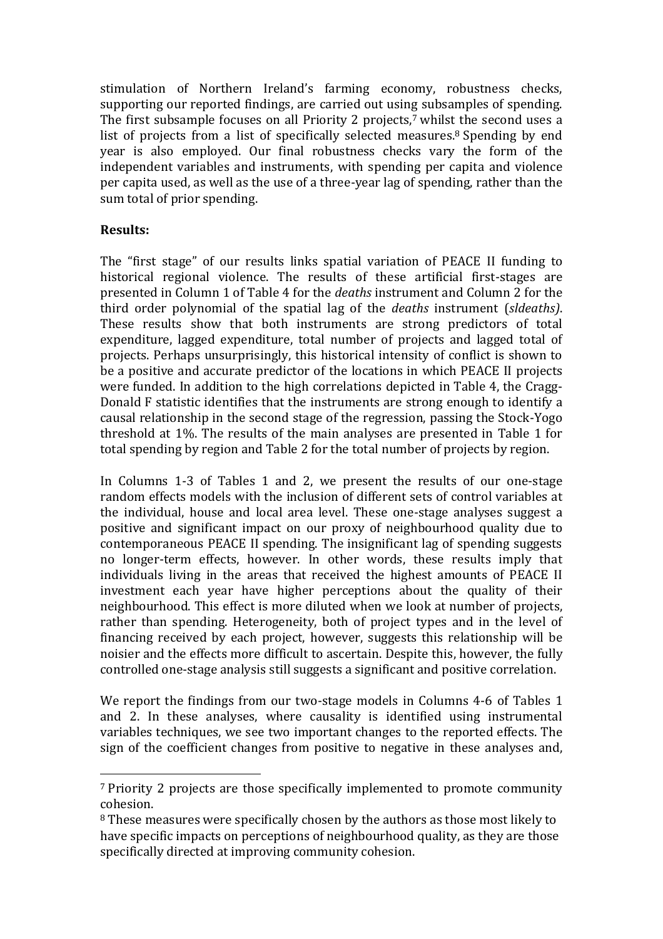stimulation of Northern Ireland's farming economy, robustness checks, supporting our reported findings, are carried out using subsamples of spending. The first subsample focuses on all Priority 2 projects,<sup>7</sup> whilst the second uses a list of projects from a list of specifically selected measures.<sup>8</sup> Spending by end year is also employed. Our final robustness checks vary the form of the independent variables and instruments, with spending per capita and violence per capita used, as well as the use of a three-year lag of spending, rather than the sum total of prior spending.

#### **Results:**

 $\overline{a}$ 

The "first stage" of our results links spatial variation of PEACE II funding to historical regional violence. The results of these artificial first-stages are presented in Column 1 of Table 4 for the *deaths* instrument and Column 2 for the third order polynomial of the spatial lag of the *deaths* instrument (*sldeaths)*. These results show that both instruments are strong predictors of total expenditure, lagged expenditure, total number of projects and lagged total of projects. Perhaps unsurprisingly, this historical intensity of conflict is shown to be a positive and accurate predictor of the locations in which PEACE II projects were funded. In addition to the high correlations depicted in Table 4, the Cragg-Donald F statistic identifies that the instruments are strong enough to identify a causal relationship in the second stage of the regression, passing the Stock-Yogo threshold at 1%. The results of the main analyses are presented in Table 1 for total spending by region and Table 2 for the total number of projects by region.

In Columns 1-3 of Tables 1 and 2, we present the results of our one-stage random effects models with the inclusion of different sets of control variables at the individual, house and local area level. These one-stage analyses suggest a positive and significant impact on our proxy of neighbourhood quality due to contemporaneous PEACE II spending. The insignificant lag of spending suggests no longer-term effects, however. In other words, these results imply that individuals living in the areas that received the highest amounts of PEACE II investment each year have higher perceptions about the quality of their neighbourhood. This effect is more diluted when we look at number of projects, rather than spending. Heterogeneity, both of project types and in the level of financing received by each project, however, suggests this relationship will be noisier and the effects more difficult to ascertain. Despite this, however, the fully controlled one-stage analysis still suggests a significant and positive correlation.

We report the findings from our two-stage models in Columns 4-6 of Tables 1 and 2. In these analyses, where causality is identified using instrumental variables techniques, we see two important changes to the reported effects. The sign of the coefficient changes from positive to negative in these analyses and,

<sup>7</sup> Priority 2 projects are those specifically implemented to promote community cohesion.

<sup>8</sup> These measures were specifically chosen by the authors as those most likely to have specific impacts on perceptions of neighbourhood quality, as they are those specifically directed at improving community cohesion.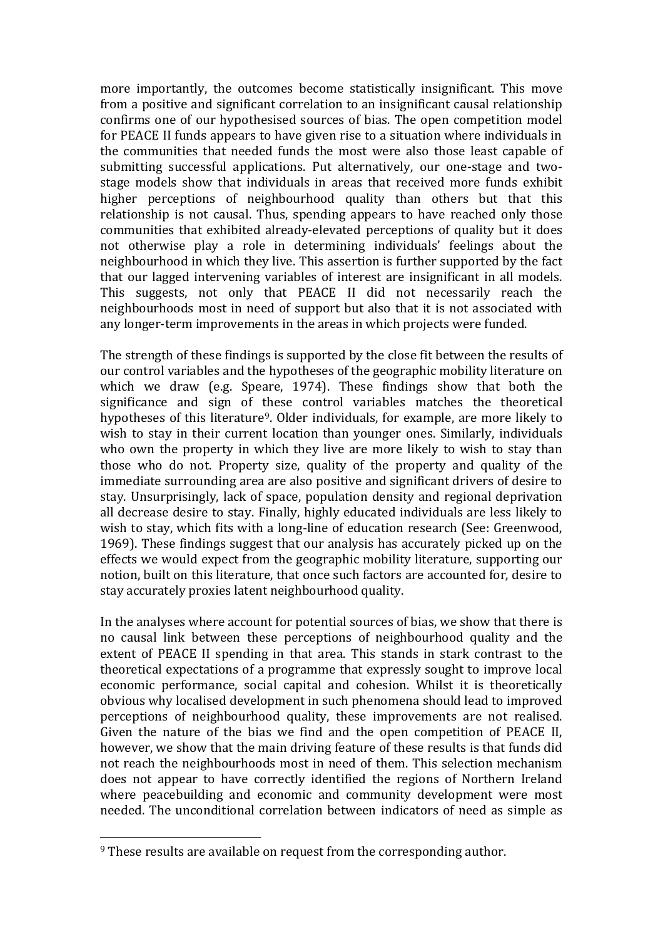more importantly, the outcomes become statistically insignificant. This move from a positive and significant correlation to an insignificant causal relationship confirms one of our hypothesised sources of bias. The open competition model for PEACE II funds appears to have given rise to a situation where individuals in the communities that needed funds the most were also those least capable of submitting successful applications. Put alternatively, our one-stage and twostage models show that individuals in areas that received more funds exhibit higher perceptions of neighbourhood quality than others but that this relationship is not causal. Thus, spending appears to have reached only those communities that exhibited already-elevated perceptions of quality but it does not otherwise play a role in determining individuals' feelings about the neighbourhood in which they live. This assertion is further supported by the fact that our lagged intervening variables of interest are insignificant in all models. This suggests, not only that PEACE II did not necessarily reach the neighbourhoods most in need of support but also that it is not associated with any longer-term improvements in the areas in which projects were funded.

The strength of these findings is supported by the close fit between the results of our control variables and the hypotheses of the geographic mobility literature on which we draw (e.g. Speare, 1974). These findings show that both the significance and sign of these control variables matches the theoretical hypotheses of this literature<sup>9</sup>. Older individuals, for example, are more likely to wish to stay in their current location than younger ones. Similarly, individuals who own the property in which they live are more likely to wish to stay than those who do not. Property size, quality of the property and quality of the immediate surrounding area are also positive and significant drivers of desire to stay. Unsurprisingly, lack of space, population density and regional deprivation all decrease desire to stay. Finally, highly educated individuals are less likely to wish to stay, which fits with a long-line of education research (See: Greenwood, 1969). These findings suggest that our analysis has accurately picked up on the effects we would expect from the geographic mobility literature, supporting our notion, built on this literature, that once such factors are accounted for, desire to stay accurately proxies latent neighbourhood quality.

In the analyses where account for potential sources of bias, we show that there is no causal link between these perceptions of neighbourhood quality and the extent of PEACE II spending in that area. This stands in stark contrast to the theoretical expectations of a programme that expressly sought to improve local economic performance, social capital and cohesion. Whilst it is theoretically obvious why localised development in such phenomena should lead to improved perceptions of neighbourhood quality, these improvements are not realised. Given the nature of the bias we find and the open competition of PEACE II, however, we show that the main driving feature of these results is that funds did not reach the neighbourhoods most in need of them. This selection mechanism does not appear to have correctly identified the regions of Northern Ireland where peacebuilding and economic and community development were most needed. The unconditional correlation between indicators of need as simple as

 $\overline{a}$ 

<sup>9</sup> These results are available on request from the corresponding author.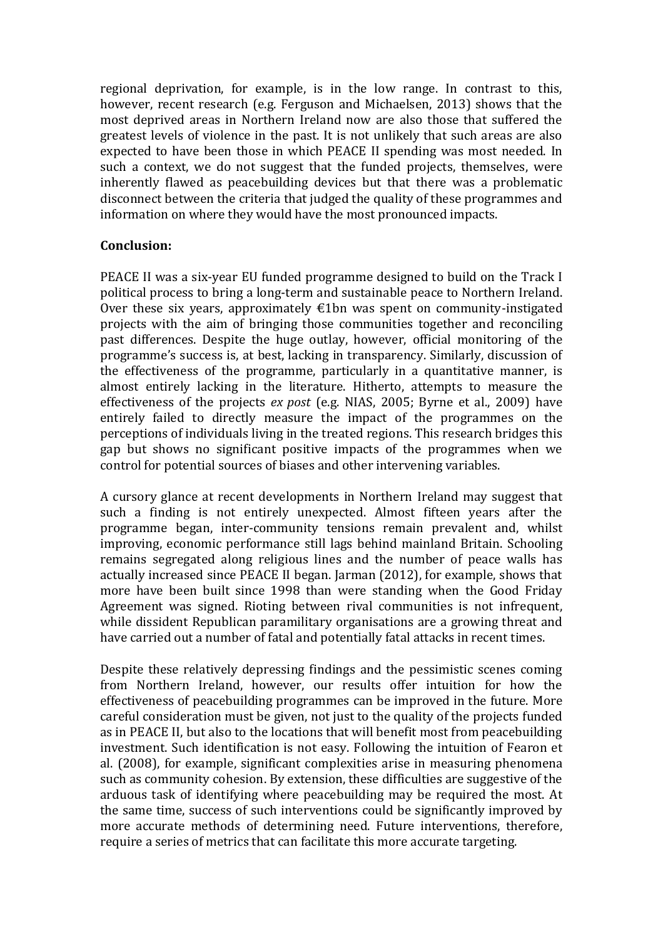regional deprivation, for example, is in the low range. In contrast to this, however, recent research (e.g. Ferguson and Michaelsen, 2013) shows that the most deprived areas in Northern Ireland now are also those that suffered the greatest levels of violence in the past. It is not unlikely that such areas are also expected to have been those in which PEACE II spending was most needed. In such a context, we do not suggest that the funded projects, themselves, were inherently flawed as peacebuilding devices but that there was a problematic disconnect between the criteria that judged the quality of these programmes and information on where they would have the most pronounced impacts.

#### **Conclusion:**

PEACE II was a six-year EU funded programme designed to build on the Track I political process to bring a long-term and sustainable peace to Northern Ireland. Over these six years, approximately  $\epsilon$ 1bn was spent on community-instigated projects with the aim of bringing those communities together and reconciling past differences. Despite the huge outlay, however, official monitoring of the programme's success is, at best, lacking in transparency. Similarly, discussion of the effectiveness of the programme, particularly in a quantitative manner, is almost entirely lacking in the literature. Hitherto, attempts to measure the effectiveness of the projects *ex post* (e.g. NIAS, 2005; Byrne et al., 2009) have entirely failed to directly measure the impact of the programmes on the perceptions of individuals living in the treated regions. This research bridges this gap but shows no significant positive impacts of the programmes when we control for potential sources of biases and other intervening variables.

A cursory glance at recent developments in Northern Ireland may suggest that such a finding is not entirely unexpected. Almost fifteen years after the programme began, inter-community tensions remain prevalent and, whilst improving, economic performance still lags behind mainland Britain. Schooling remains segregated along religious lines and the number of peace walls has actually increased since PEACE II began. Jarman (2012), for example, shows that more have been built since 1998 than were standing when the Good Friday Agreement was signed. Rioting between rival communities is not infrequent, while dissident Republican paramilitary organisations are a growing threat and have carried out a number of fatal and potentially fatal attacks in recent times.

Despite these relatively depressing findings and the pessimistic scenes coming from Northern Ireland, however, our results offer intuition for how the effectiveness of peacebuilding programmes can be improved in the future. More careful consideration must be given, not just to the quality of the projects funded as in PEACE II, but also to the locations that will benefit most from peacebuilding investment. Such identification is not easy. Following the intuition of Fearon et al. (2008), for example, significant complexities arise in measuring phenomena such as community cohesion. By extension, these difficulties are suggestive of the arduous task of identifying where peacebuilding may be required the most. At the same time, success of such interventions could be significantly improved by more accurate methods of determining need. Future interventions, therefore, require a series of metrics that can facilitate this more accurate targeting.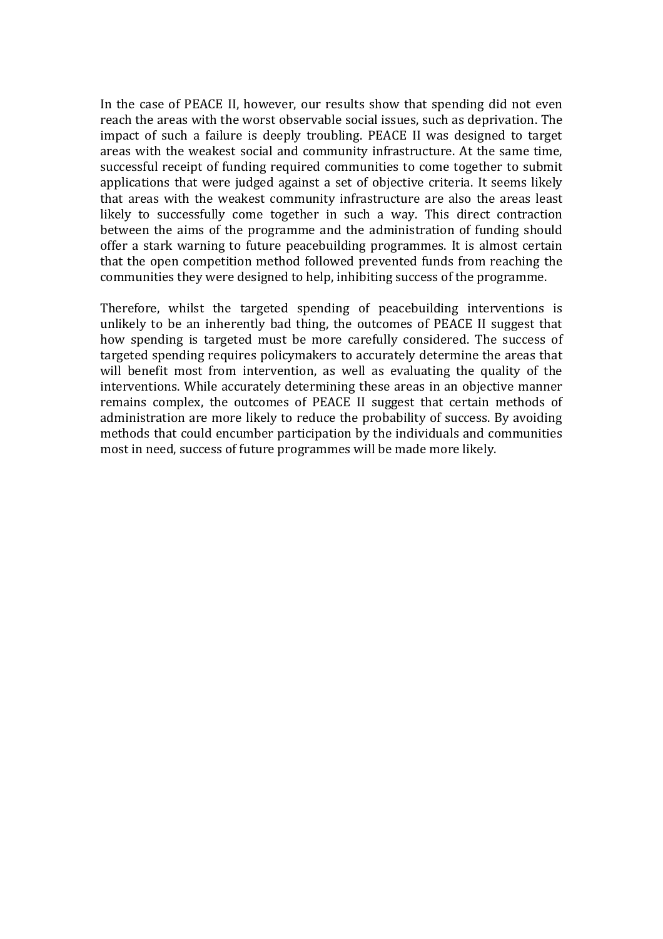In the case of PEACE II, however, our results show that spending did not even reach the areas with the worst observable social issues, such as deprivation. The impact of such a failure is deeply troubling. PEACE II was designed to target areas with the weakest social and community infrastructure. At the same time, successful receipt of funding required communities to come together to submit applications that were judged against a set of objective criteria. It seems likely that areas with the weakest community infrastructure are also the areas least likely to successfully come together in such a way. This direct contraction between the aims of the programme and the administration of funding should offer a stark warning to future peacebuilding programmes. It is almost certain that the open competition method followed prevented funds from reaching the communities they were designed to help, inhibiting success of the programme.

Therefore, whilst the targeted spending of peacebuilding interventions is unlikely to be an inherently bad thing, the outcomes of PEACE II suggest that how spending is targeted must be more carefully considered. The success of targeted spending requires policymakers to accurately determine the areas that will benefit most from intervention, as well as evaluating the quality of the interventions. While accurately determining these areas in an objective manner remains complex, the outcomes of PEACE II suggest that certain methods of administration are more likely to reduce the probability of success. By avoiding methods that could encumber participation by the individuals and communities most in need, success of future programmes will be made more likely.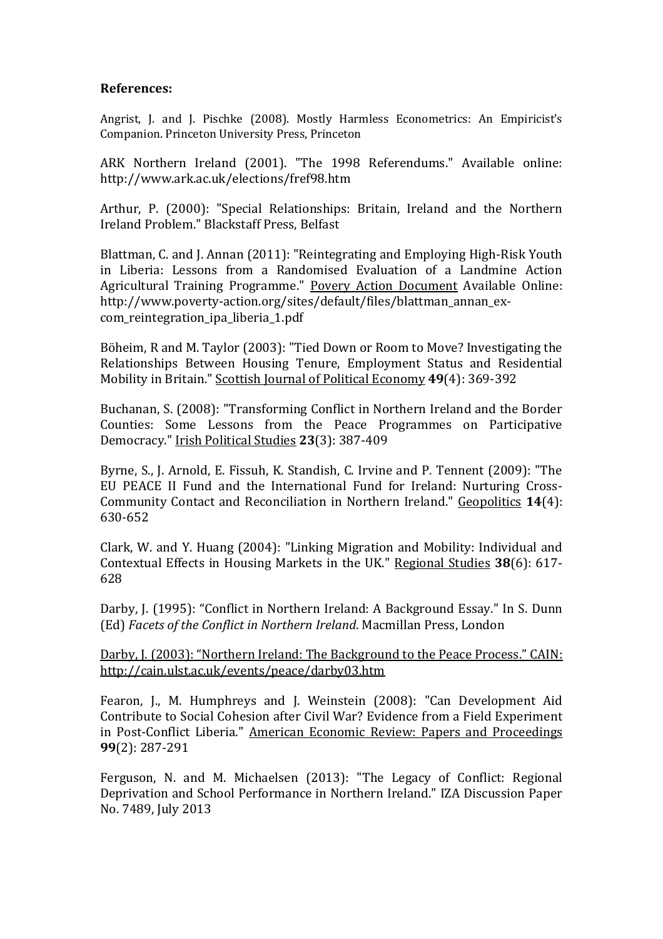#### **References:**

Angrist, J. and J. Pischke (2008). Mostly Harmless Econometrics: An Empiricist's Companion. Princeton University Press, Princeton

ARK Northern Ireland (2001). "The 1998 Referendums." Available online: http://www.ark.ac.uk/elections/fref98.htm

Arthur, P. (2000): "Special Relationships: Britain, Ireland and the Northern Ireland Problem." Blackstaff Press, Belfast

Blattman, C. and J. Annan (2011): "Reintegrating and Employing High-Risk Youth in Liberia: Lessons from a Randomised Evaluation of a Landmine Action Agricultural Training Programme." Povery Action Document Available Online: http://www.poverty-action.org/sites/default/files/blattman\_annan\_excom\_reintegration\_ipa\_liberia\_1.pdf

Böheim, R and M. Taylor (2003): "Tied Down or Room to Move? Investigating the Relationships Between Housing Tenure, Employment Status and Residential Mobility in Britain." Scottish Journal of Political Economy **49**(4): 369-392

Buchanan, S. (2008): "Transforming Conflict in Northern Ireland and the Border Counties: Some Lessons from the Peace Programmes on Participative Democracy." Irish Political Studies **23**(3): 387-409

Byrne, S., J. Arnold, E. Fissuh, K. Standish, C. Irvine and P. Tennent (2009): "The EU PEACE II Fund and the International Fund for Ireland: Nurturing Cross-Community Contact and Reconciliation in Northern Ireland." Geopolitics **14**(4): 630-652

Clark, W. and Y. Huang (2004): "Linking Migration and Mobility: Individual and Contextual Effects in Housing Markets in the UK." Regional Studies **38**(6): 617- 628

Darby, J. (1995): "Conflict in Northern Ireland: A Background Essay." In S. Dunn (Ed) *Facets of the Conflict in Northern Ireland*. Macmillan Press, London

[Darby, J. \(2003\): "Northern Ireland: The Background to the Peace Process." CAIN:](Darby,%20J.%20(2003):%20)  [http://cain.ulst.ac.uk/events/peace/darby03.htm](Darby,%20J.%20(2003):%20)

Fearon, J., M. Humphreys and J. Weinstein (2008): "Can Development Aid Contribute to Social Cohesion after Civil War? Evidence from a Field Experiment in Post-Conflict Liberia." American Economic Review: Papers and Proceedings **99**(2): 287-291

Ferguson, N. and M. Michaelsen (2013): "The Legacy of Conflict: Regional Deprivation and School Performance in Northern Ireland." IZA Discussion Paper No. 7489, July 2013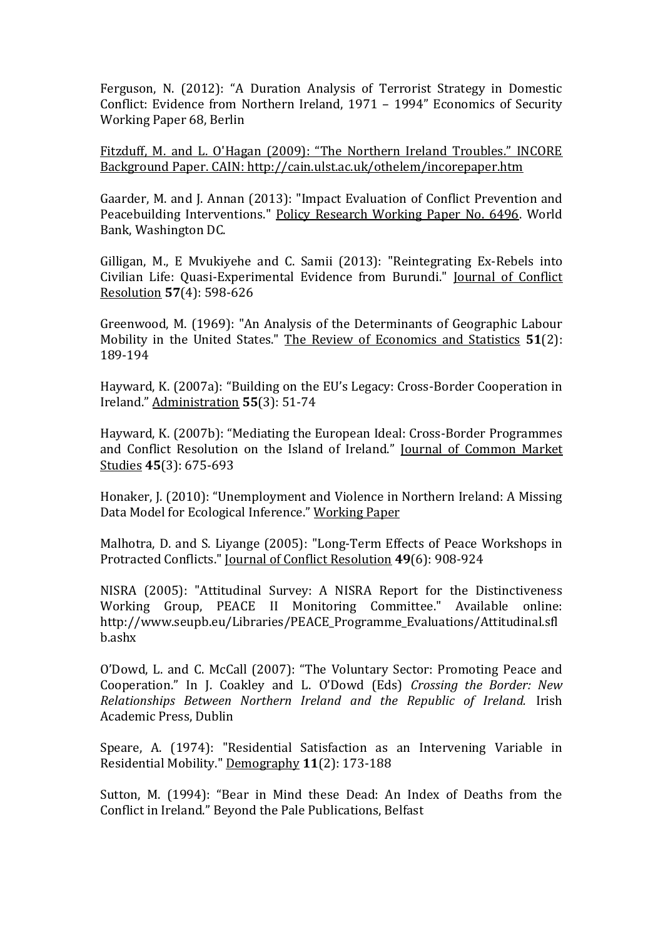Ferguson, N. (2012): "A Duration Analysis of Terrorist Strategy in Domestic Conflict: Evidence from Northern Ireland, 1971 – 1994" Economics of Security Working Paper 68, Berlin

[Fitzduff, M. and L. O'Hagan \(2009\): "The Northern Ireland Troubles." INCORE](Fitzduff,%20M.%20and%20L.%20O)  [Background Paper. CAIN: http://cain.ulst.ac.uk/othelem/incorepaper.htm](Fitzduff,%20M.%20and%20L.%20O)

Gaarder, M. and J. Annan (2013): "Impact Evaluation of Conflict Prevention and Peacebuilding Interventions." Policy Research Working Paper No. 6496. World Bank, Washington DC.

Gilligan, M., E Mvukiyehe and C. Samii (2013): "Reintegrating Ex-Rebels into Civilian Life: Quasi-Experimental Evidence from Burundi." Journal of Conflict Resolution **57**(4): 598-626

Greenwood, M. (1969): "An Analysis of the Determinants of Geographic Labour Mobility in the United States." The Review of Economics and Statistics **51**(2): 189-194

Hayward, K. (2007a): "Building on the EU's Legacy: Cross-Border Cooperation in Ireland." Administration **55**(3): 51-74

Hayward, K. (2007b): "Mediating the European Ideal: Cross-Border Programmes and Conflict Resolution on the Island of Ireland." Journal of Common Market Studies **45**(3): 675-693

Honaker, J. (2010): "Unemployment and Violence in Northern Ireland: A Missing Data Model for Ecological Inference." Working Paper

Malhotra, D. and S. Liyange (2005): "Long-Term Effects of Peace Workshops in Protracted Conflicts." Journal of Conflict Resolution **49**(6): 908-924

NISRA (2005): "Attitudinal Survey: A NISRA Report for the Distinctiveness Working Group, PEACE II Monitoring Committee." Available online: http://www.seupb.eu/Libraries/PEACE\_Programme\_Evaluations/Attitudinal.sfl b.ashx

O'Dowd, L. and C. McCall (2007): "The Voluntary Sector: Promoting Peace and Cooperation." In J. Coakley and L. O'Dowd (Eds) *Crossing the Border: New Relationships Between Northern Ireland and the Republic of Ireland.* Irish Academic Press, Dublin

Speare, A. (1974): "Residential Satisfaction as an Intervening Variable in Residential Mobility." Demography **11**(2): 173-188

Sutton, M. (1994): "Bear in Mind these Dead: An Index of Deaths from the Conflict in Ireland." Beyond the Pale Publications, Belfast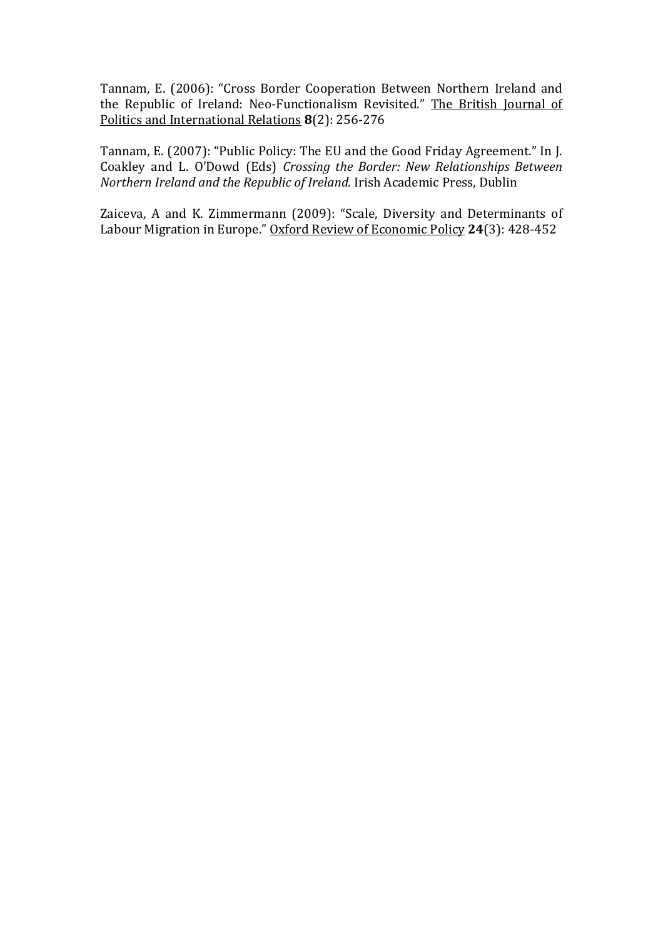Tannam, E. (2006): "Cross Border Cooperation Between Northern Ireland and the Republic of Ireland: Neo-Functionalism Revisited." The British Journal of Politics and International Relations **8**(2): 256-276

Tannam, E. (2007): "Public Policy: The EU and the Good Friday Agreement." In J. Coakley and L. O'Dowd (Eds) *Crossing the Border: New Relationships Between Northern Ireland and the Republic of Ireland.* Irish Academic Press, Dublin

Zaiceva, A and K. Zimmermann (2009): "Scale, Diversity and Determinants of Labour Migration in Europe." Oxford Review of Economic Policy **24**(3): 428-452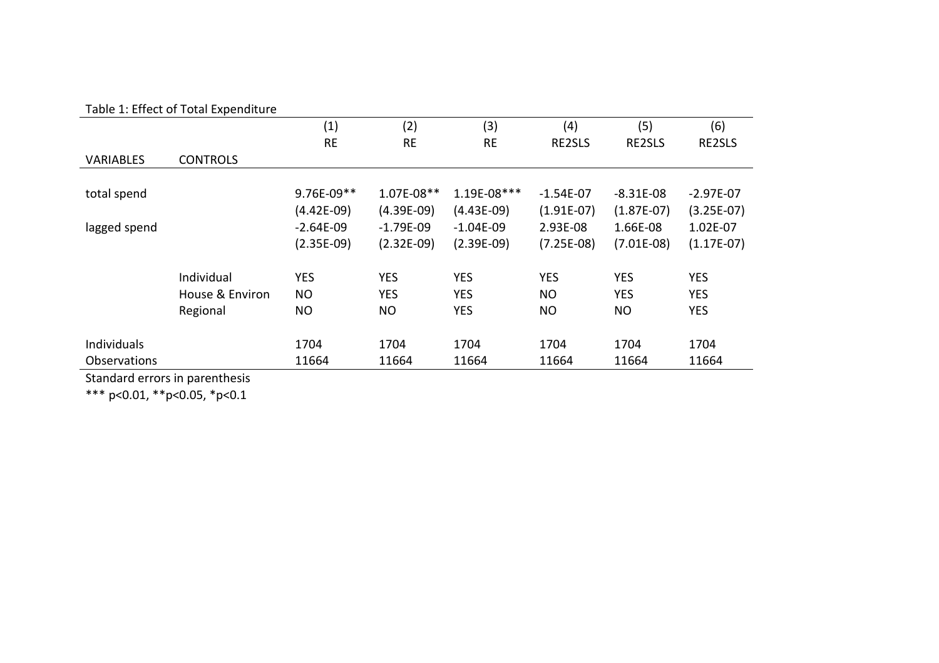| Table 1: Effect of Total Expenditure |  |
|--------------------------------------|--|
|--------------------------------------|--|

|                     |                 | (1)          | (2)          | (3)          | (4)          | (5)          | (6)          |
|---------------------|-----------------|--------------|--------------|--------------|--------------|--------------|--------------|
|                     |                 | <b>RE</b>    | <b>RE</b>    | <b>RE</b>    | RE2SLS       | RE2SLS       | RE2SLS       |
| <b>VARIABLES</b>    | <b>CONTROLS</b> |              |              |              |              |              |              |
|                     |                 |              |              |              |              |              |              |
| total spend         |                 | 9.76E-09**   | 1.07E-08**   | 1.19E-08***  | $-1.54E-07$  | $-8.31E-08$  | $-2.97E-07$  |
|                     |                 | $(4.42E-09)$ | $(4.39E-09)$ | $(4.43E-09)$ | $(1.91E-07)$ | $(1.87E-07)$ | $(3.25E-07)$ |
| lagged spend        |                 | $-2.64E-09$  | $-1.79E-09$  | $-1.04E-09$  | 2.93E-08     | 1.66E-08     | 1.02E-07     |
|                     |                 | $(2.35E-09)$ | $(2.32E-09)$ | $(2.39E-09)$ | $(7.25E-08)$ | $(7.01E-08)$ | $(1.17E-07)$ |
|                     | Individual      | <b>YES</b>   | <b>YES</b>   | <b>YES</b>   | <b>YES</b>   | <b>YES</b>   | <b>YES</b>   |
|                     | House & Environ | <b>NO</b>    | <b>YES</b>   | <b>YES</b>   | <b>NO</b>    | <b>YES</b>   | <b>YES</b>   |
|                     | Regional        | <b>NO</b>    | <b>NO</b>    | <b>YES</b>   | <b>NO</b>    | NO.          | <b>YES</b>   |
|                     |                 |              |              |              |              |              |              |
| Individuals         |                 | 1704         | 1704         | 1704         | 1704         | 1704         | 1704         |
| <b>Observations</b> |                 | 11664        | 11664        | 11664        | 11664        | 11664        | 11664        |

Standard errors in parenthesis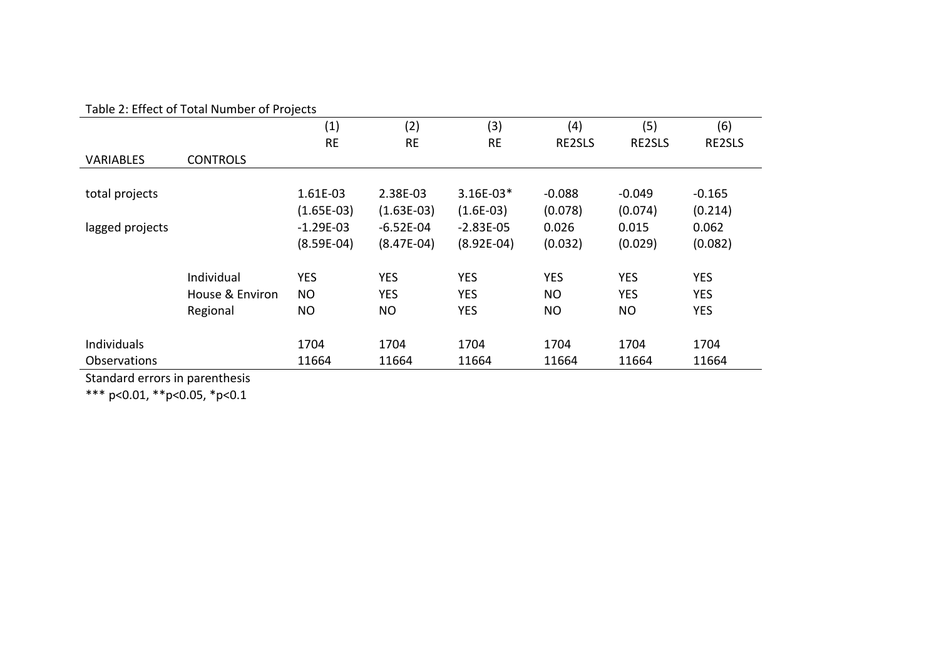#### Table 2: Effect of Total Number of Projects

|                     | Table 2. Lifect of Total Natilber of Flojects |              |              |              |            |            |            |
|---------------------|-----------------------------------------------|--------------|--------------|--------------|------------|------------|------------|
|                     |                                               | (1)          | (2)          | (3)          | (4)        | (5)        | (6)        |
|                     |                                               | <b>RE</b>    | <b>RE</b>    | <b>RE</b>    | RE2SLS     | RE2SLS     | RE2SLS     |
| <b>VARIABLES</b>    | <b>CONTROLS</b>                               |              |              |              |            |            |            |
|                     |                                               |              |              |              |            |            |            |
| total projects      |                                               | 1.61E-03     | 2.38E-03     | 3.16E-03*    | $-0.088$   | $-0.049$   | $-0.165$   |
|                     |                                               | $(1.65E-03)$ | $(1.63E-03)$ | $(1.6E-03)$  | (0.078)    | (0.074)    | (0.214)    |
| lagged projects     |                                               | $-1.29E-03$  | $-6.52E-04$  | $-2.83E-05$  | 0.026      | 0.015      | 0.062      |
|                     |                                               | $(8.59E-04)$ | $(8.47E-04)$ | $(8.92E-04)$ | (0.032)    | (0.029)    | (0.082)    |
|                     | Individual                                    | <b>YES</b>   | <b>YES</b>   | <b>YES</b>   | <b>YES</b> | <b>YES</b> | <b>YES</b> |
|                     | House & Environ                               | <b>NO</b>    | <b>YES</b>   | <b>YES</b>   | <b>NO</b>  | <b>YES</b> | <b>YES</b> |
|                     | Regional                                      | NO.          | <b>NO</b>    | <b>YES</b>   | NO.        | <b>NO</b>  | <b>YES</b> |
|                     |                                               |              |              |              |            |            |            |
| Individuals         |                                               | 1704         | 1704         | 1704         | 1704       | 1704       | 1704       |
| <b>Observations</b> |                                               | 11664        | 11664        | 11664        | 11664      | 11664      | 11664      |

Standard errors in parenthesis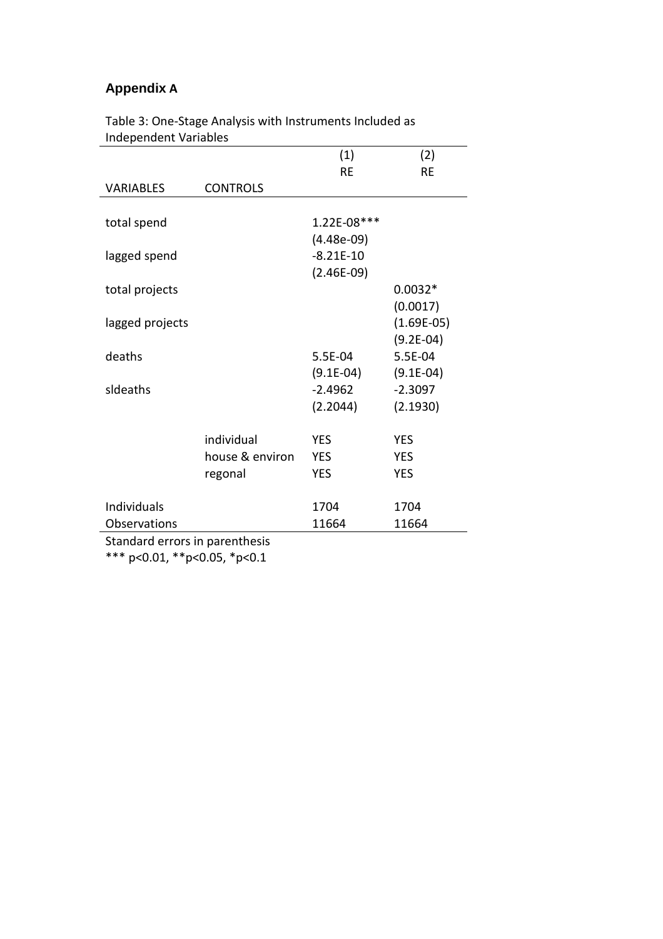## **Appendix A**

| <b>INGLIGATION</b> AND INTERNATION |                 |              |              |
|------------------------------------|-----------------|--------------|--------------|
|                                    |                 | (1)          | (2)          |
|                                    |                 | <b>RE</b>    | <b>RE</b>    |
| <b>VARIABLES</b>                   | <b>CONTROLS</b> |              |              |
|                                    |                 |              |              |
| total spend                        |                 | 1.22E-08***  |              |
|                                    |                 | $(4.48e-09)$ |              |
| lagged spend                       |                 | $-8.21E-10$  |              |
|                                    |                 | $(2.46E-09)$ |              |
| total projects                     |                 |              | $0.0032*$    |
|                                    |                 |              | (0.0017)     |
| lagged projects                    |                 |              | $(1.69E-05)$ |
|                                    |                 |              | $(9.2E-04)$  |
| deaths                             |                 | 5.5E-04      | 5.5E-04      |
|                                    |                 | $(9.1E-04)$  | $(9.1E-04)$  |
| sideaths                           |                 | $-2.4962$    | $-2.3097$    |
|                                    |                 | (2.2044)     | (2.1930)     |
|                                    |                 |              |              |
|                                    | individual      | <b>YES</b>   | <b>YES</b>   |
|                                    | house & environ | <b>YES</b>   | <b>YES</b>   |
|                                    | regonal         | <b>YES</b>   | <b>YES</b>   |
| Individuals                        |                 | 1704         | 1704         |
|                                    |                 |              |              |
| Observations                       |                 | 11664        | 11664        |
| Standard errors in parenthesis     |                 |              |              |

Table 3: One-Stage Analysis with Instruments Included as Independent Variables